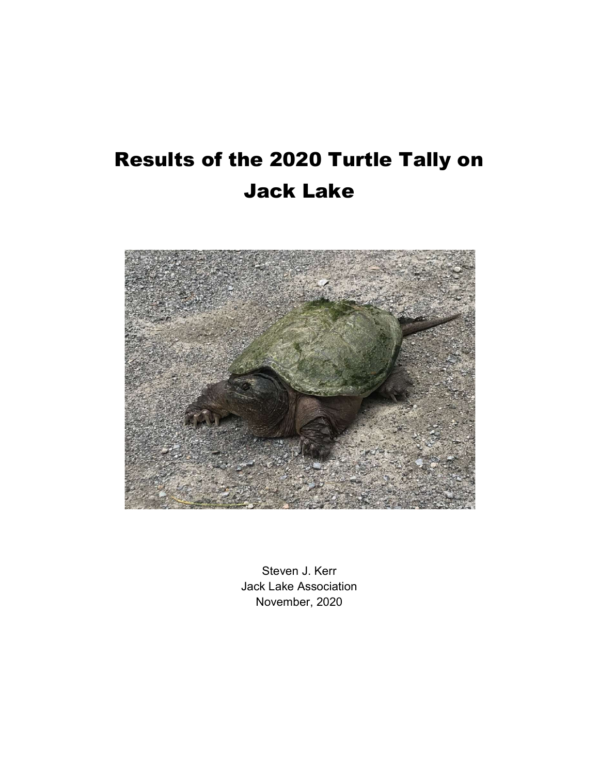# Results of the 2020 Turtle Tally on Jack Lake



Steven J. Kerr Jack Lake Association November, 2020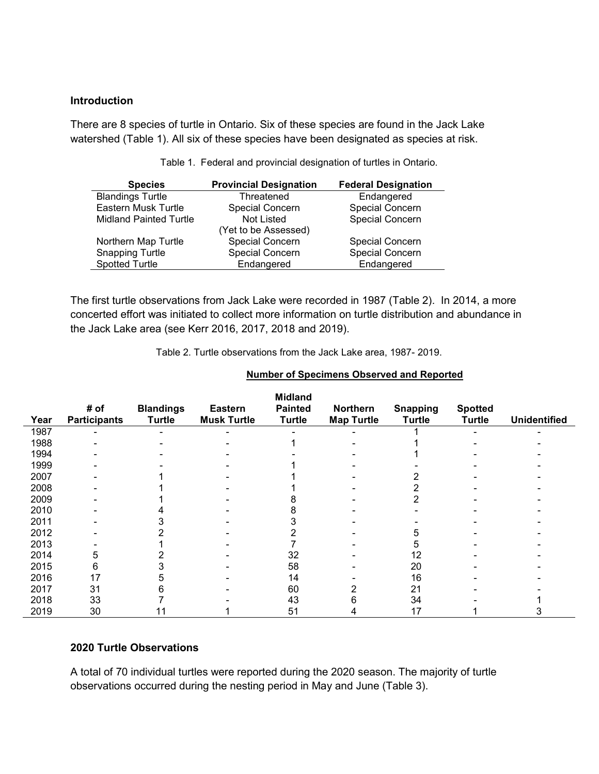#### Introduction

There are 8 species of turtle in Ontario. Six of these species are found in the Jack Lake watershed (Table 1). All six of these species have been designated as species at risk.

| <b>Species</b>                | <b>Provincial Designation</b> | <b>Federal Designation</b> |
|-------------------------------|-------------------------------|----------------------------|
| <b>Blandings Turtle</b>       | Threatened                    | Endangered                 |
| Eastern Musk Turtle           | Special Concern               | <b>Special Concern</b>     |
| <b>Midland Painted Turtle</b> | Not Listed                    | <b>Special Concern</b>     |
|                               | (Yet to be Assessed)          |                            |
| Northern Map Turtle           | Special Concern               | <b>Special Concern</b>     |
| <b>Snapping Turtle</b>        | <b>Special Concern</b>        | <b>Special Concern</b>     |
| <b>Spotted Turtle</b>         | Endangered                    | Endangered                 |

Table 1. Federal and provincial designation of turtles in Ontario.

The first turtle observations from Jack Lake were recorded in 1987 (Table 2). In 2014, a more concerted effort was initiated to collect more information on turtle distribution and abundance in the Jack Lake area (see Kerr 2016, 2017, 2018 and 2019).

Table 2. Turtle observations from the Jack Lake area, 1987- 2019.

| Year | # of<br><b>Participants</b> | <b>Blandings</b><br><b>Turtle</b> | <b>Eastern</b><br><b>Musk Turtle</b> | <b>Midland</b><br><b>Painted</b><br><b>Turtle</b> | Northern<br><b>Map Turtle</b> | <b>Snapping</b><br><b>Turtle</b> | <b>Spotted</b><br><b>Turtle</b> | <b>Unidentified</b> |
|------|-----------------------------|-----------------------------------|--------------------------------------|---------------------------------------------------|-------------------------------|----------------------------------|---------------------------------|---------------------|
| 1987 |                             |                                   |                                      |                                                   |                               |                                  |                                 |                     |
| 1988 |                             |                                   |                                      |                                                   |                               |                                  |                                 |                     |
| 1994 |                             |                                   |                                      |                                                   |                               |                                  |                                 |                     |
| 1999 |                             |                                   |                                      |                                                   |                               |                                  |                                 |                     |
| 2007 |                             |                                   |                                      |                                                   |                               |                                  |                                 |                     |
| 2008 |                             |                                   |                                      |                                                   |                               |                                  |                                 |                     |
| 2009 |                             |                                   |                                      |                                                   |                               |                                  |                                 |                     |
| 2010 |                             |                                   |                                      |                                                   |                               |                                  |                                 |                     |
| 2011 |                             |                                   |                                      |                                                   |                               |                                  |                                 |                     |
| 2012 |                             |                                   |                                      |                                                   |                               |                                  |                                 |                     |
| 2013 |                             |                                   |                                      |                                                   |                               |                                  |                                 |                     |
| 2014 | 5                           |                                   |                                      | 32                                                |                               | 12                               |                                 |                     |
| 2015 | 6                           |                                   |                                      | 58                                                |                               | 20                               |                                 |                     |
| 2016 | 17                          |                                   |                                      | 14                                                |                               | 16                               |                                 |                     |
| 2017 | 31                          |                                   |                                      | 60                                                |                               | 21                               |                                 |                     |
| 2018 | 33                          |                                   |                                      | 43                                                |                               | 34                               |                                 |                     |
| 2019 | 30                          |                                   |                                      | 51                                                |                               | 17                               |                                 |                     |

#### Number of Specimens Observed and Reported

#### 2020 Turtle Observations

A total of 70 individual turtles were reported during the 2020 season. The majority of turtle observations occurred during the nesting period in May and June (Table 3).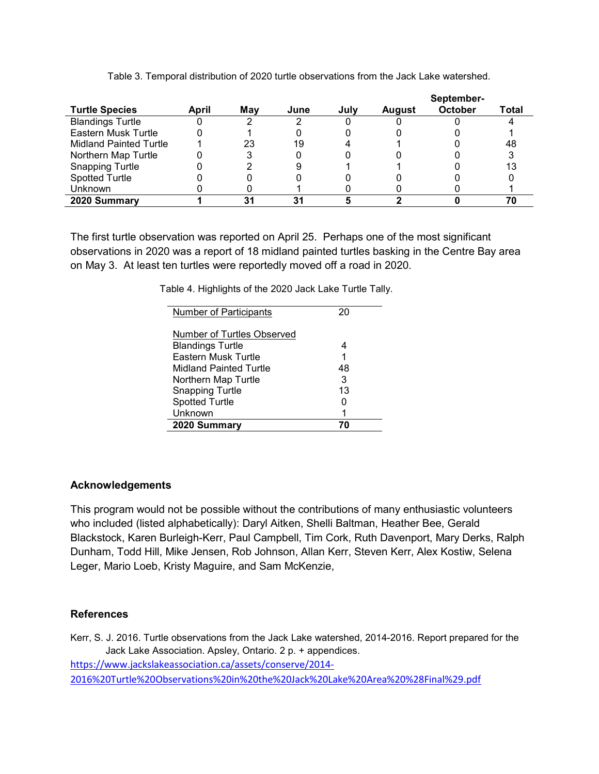|                               |       |     |      |      |               | September-     |       |
|-------------------------------|-------|-----|------|------|---------------|----------------|-------|
| <b>Turtle Species</b>         | April | Mav | June | July | <b>August</b> | <b>October</b> | Total |
| <b>Blandings Turtle</b>       |       |     |      |      |               |                |       |
| Eastern Musk Turtle           |       |     |      |      |               |                |       |
| <b>Midland Painted Turtle</b> |       | 23  | 19   |      |               |                | 48    |
| Northern Map Turtle           |       |     |      |      |               |                |       |
| <b>Snapping Turtle</b>        |       |     |      |      |               |                | 13    |
| <b>Spotted Turtle</b>         |       |     |      |      |               |                |       |
| <b>Unknown</b>                |       |     |      |      |               |                |       |
| 2020 Summary                  |       |     | о,   |      |               |                |       |

Table 3. Temporal distribution of 2020 turtle observations from the Jack Lake watershed.

The first turtle observation was reported on April 25. Perhaps one of the most significant observations in 2020 was a report of 18 midland painted turtles basking in the Centre Bay area on May 3. At least ten turtles were reportedly moved off a road in 2020.

Table 4. Highlights of the 2020 Jack Lake Turtle Tally.

| 2020 Summary                  |    |
|-------------------------------|----|
| Unknown                       | 1  |
| <b>Spotted Turtle</b>         | O  |
| <b>Snapping Turtle</b>        | 13 |
| Northern Map Turtle           | 3  |
| Midland Painted Turtle        | 48 |
| <b>Eastern Musk Turtle</b>    | 1  |
| <b>Blandings Turtle</b>       | 4  |
| Number of Turtles Observed    |    |
|                               |    |
| <b>Number of Participants</b> | 20 |

# Acknowledgements

This program would not be possible without the contributions of many enthusiastic volunteers who included (listed alphabetically): Daryl Aitken, Shelli Baltman, Heather Bee, Gerald Blackstock, Karen Burleigh-Kerr, Paul Campbell, Tim Cork, Ruth Davenport, Mary Derks, Ralph Dunham, Todd Hill, Mike Jensen, Rob Johnson, Allan Kerr, Steven Kerr, Alex Kostiw, Selena Leger, Mario Loeb, Kristy Maguire, and Sam McKenzie,

# **References**

Kerr, S. J. 2016. Turtle observations from the Jack Lake watershed, 2014-2016. Report prepared for the Jack Lake Association. Apsley, Ontario. 2 p. + appendices. https://www.jackslakeassociation.ca/assets/conserve/2014- 2016%20Turtle%20Observations%20in%20the%20Jack%20Lake%20Area%20%28Final%29.pdf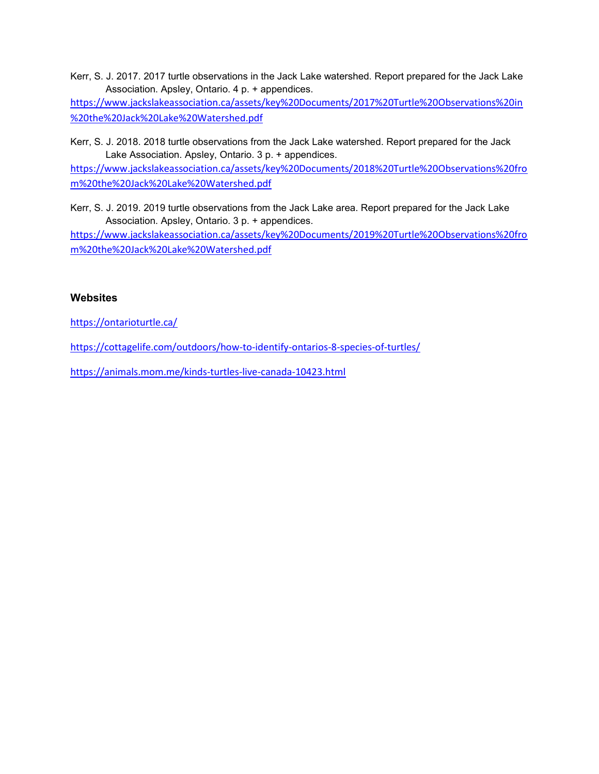Kerr, S. J. 2017. 2017 turtle observations in the Jack Lake watershed. Report prepared for the Jack Lake Association. Apsley, Ontario. 4 p. + appendices.

https://www.jackslakeassociation.ca/assets/key%20Documents/2017%20Turtle%20Observations%20in %20the%20Jack%20Lake%20Watershed.pdf

Kerr, S. J. 2018. 2018 turtle observations from the Jack Lake watershed. Report prepared for the Jack Lake Association. Apsley, Ontario. 3 p. + appendices.

https://www.jackslakeassociation.ca/assets/key%20Documents/2018%20Turtle%20Observations%20fro m%20the%20Jack%20Lake%20Watershed.pdf

Kerr, S. J. 2019. 2019 turtle observations from the Jack Lake area. Report prepared for the Jack Lake Association. Apsley, Ontario. 3 p. + appendices.

https://www.jackslakeassociation.ca/assets/key%20Documents/2019%20Turtle%20Observations%20fro m%20the%20Jack%20Lake%20Watershed.pdf

# **Websites**

https://ontarioturtle.ca/

https://cottagelife.com/outdoors/how-to-identify-ontarios-8-species-of-turtles/

https://animals.mom.me/kinds-turtles-live-canada-10423.html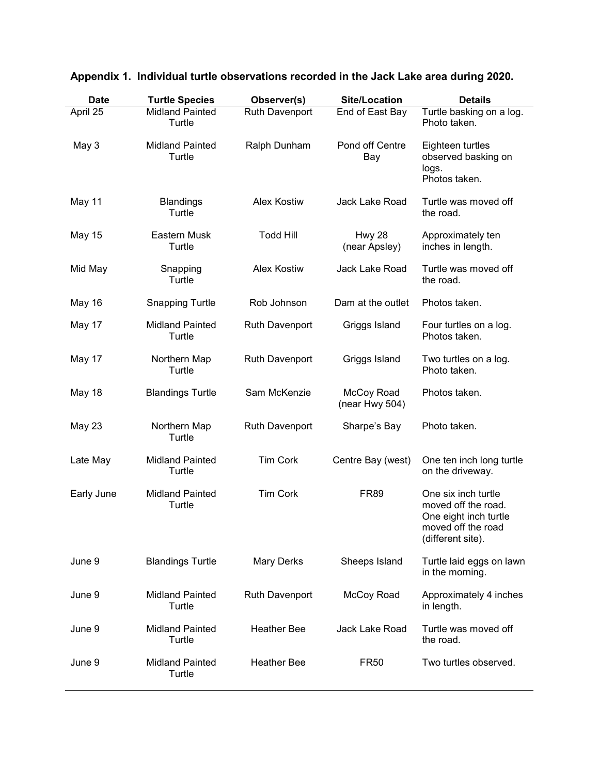| <b>Date</b> | <b>Turtle Species</b>            | Observer(s)           | <b>Site/Location</b>           | <b>Details</b>                                                                                                 |
|-------------|----------------------------------|-----------------------|--------------------------------|----------------------------------------------------------------------------------------------------------------|
| April 25    | <b>Midland Painted</b><br>Turtle | Ruth Davenport        | End of East Bay                | Turtle basking on a log.<br>Photo taken.                                                                       |
| May 3       | <b>Midland Painted</b><br>Turtle | Ralph Dunham          | Pond off Centre<br>Bay         | Eighteen turtles<br>observed basking on<br>logs.<br>Photos taken.                                              |
| May 11      | <b>Blandings</b><br>Turtle       | <b>Alex Kostiw</b>    | Jack Lake Road                 | Turtle was moved off<br>the road.                                                                              |
| May 15      | Eastern Musk<br>Turtle           | <b>Todd Hill</b>      | <b>Hwy 28</b><br>(near Apsley) | Approximately ten<br>inches in length.                                                                         |
| Mid May     | Snapping<br>Turtle               | <b>Alex Kostiw</b>    | Jack Lake Road                 | Turtle was moved off<br>the road.                                                                              |
| May 16      | <b>Snapping Turtle</b>           | Rob Johnson           | Dam at the outlet              | Photos taken.                                                                                                  |
| May 17      | <b>Midland Painted</b><br>Turtle | Ruth Davenport        | Griggs Island                  | Four turtles on a log.<br>Photos taken.                                                                        |
| May 17      | Northern Map<br>Turtle           | <b>Ruth Davenport</b> | Griggs Island                  | Two turtles on a log.<br>Photo taken.                                                                          |
| May 18      | <b>Blandings Turtle</b>          | Sam McKenzie          | McCoy Road<br>(near Hwy 504)   | Photos taken.                                                                                                  |
| May 23      | Northern Map<br>Turtle           | <b>Ruth Davenport</b> | Sharpe's Bay                   | Photo taken.                                                                                                   |
| Late May    | <b>Midland Painted</b><br>Turtle | <b>Tim Cork</b>       | Centre Bay (west)              | One ten inch long turtle<br>on the driveway.                                                                   |
| Early June  | <b>Midland Painted</b><br>Turtle | <b>Tim Cork</b>       | <b>FR89</b>                    | One six inch turtle<br>moved off the road.<br>One eight inch turtle<br>moved off the road<br>(different site). |
| June 9      | <b>Blandings Turtle</b>          | <b>Mary Derks</b>     | Sheeps Island                  | Turtle laid eggs on lawn<br>in the morning.                                                                    |
| June 9      | <b>Midland Painted</b><br>Turtle | <b>Ruth Davenport</b> | McCoy Road                     | Approximately 4 inches<br>in length.                                                                           |
| June 9      | <b>Midland Painted</b><br>Turtle | <b>Heather Bee</b>    | <b>Jack Lake Road</b>          | Turtle was moved off<br>the road.                                                                              |
| June 9      | <b>Midland Painted</b><br>Turtle | <b>Heather Bee</b>    | <b>FR50</b>                    | Two turtles observed.                                                                                          |

# Appendix 1. Individual turtle observations recorded in the Jack Lake area during 2020.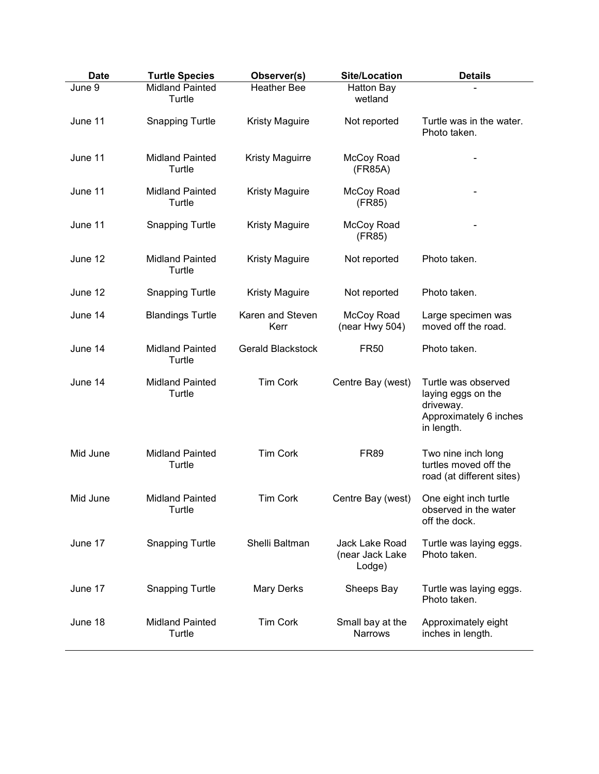| <b>Date</b> | <b>Turtle Species</b>            | Observer(s)              | <b>Site/Location</b>                        | <b>Details</b>                                                                                 |
|-------------|----------------------------------|--------------------------|---------------------------------------------|------------------------------------------------------------------------------------------------|
| June 9      | <b>Midland Painted</b><br>Turtle | <b>Heather Bee</b>       | <b>Hatton Bay</b><br>wetland                |                                                                                                |
| June 11     | <b>Snapping Turtle</b>           | <b>Kristy Maguire</b>    | Not reported                                | Turtle was in the water.<br>Photo taken.                                                       |
| June 11     | <b>Midland Painted</b><br>Turtle | <b>Kristy Maguirre</b>   | McCoy Road<br>(FR85A)                       |                                                                                                |
| June 11     | <b>Midland Painted</b><br>Turtle | <b>Kristy Maguire</b>    | McCoy Road<br>(FR85)                        |                                                                                                |
| June 11     | <b>Snapping Turtle</b>           | <b>Kristy Maguire</b>    | McCoy Road<br>(FR85)                        |                                                                                                |
| June 12     | <b>Midland Painted</b><br>Turtle | <b>Kristy Maguire</b>    | Not reported                                | Photo taken.                                                                                   |
| June 12     | <b>Snapping Turtle</b>           | <b>Kristy Maguire</b>    | Not reported                                | Photo taken.                                                                                   |
| June 14     | <b>Blandings Turtle</b>          | Karen and Steven<br>Kerr | McCoy Road<br>(near Hwy 504)                | Large specimen was<br>moved off the road.                                                      |
| June 14     | <b>Midland Painted</b><br>Turtle | <b>Gerald Blackstock</b> | <b>FR50</b>                                 | Photo taken.                                                                                   |
| June 14     | <b>Midland Painted</b><br>Turtle | <b>Tim Cork</b>          | Centre Bay (west)                           | Turtle was observed<br>laying eggs on the<br>driveway.<br>Approximately 6 inches<br>in length. |
| Mid June    | <b>Midland Painted</b><br>Turtle | <b>Tim Cork</b>          | <b>FR89</b>                                 | Two nine inch long<br>turtles moved off the<br>road (at different sites)                       |
| Mid June    | <b>Midland Painted</b><br>Turtle | <b>Tim Cork</b>          | Centre Bay (west)                           | One eight inch turtle<br>observed in the water<br>off the dock.                                |
| June 17     | <b>Snapping Turtle</b>           | Shelli Baltman           | Jack Lake Road<br>(near Jack Lake<br>Lodge) | Turtle was laying eggs.<br>Photo taken.                                                        |
| June 17     | <b>Snapping Turtle</b>           | Mary Derks               | Sheeps Bay                                  | Turtle was laying eggs.<br>Photo taken.                                                        |
| June 18     | <b>Midland Painted</b><br>Turtle | <b>Tim Cork</b>          | Small bay at the<br><b>Narrows</b>          | Approximately eight<br>inches in length.                                                       |